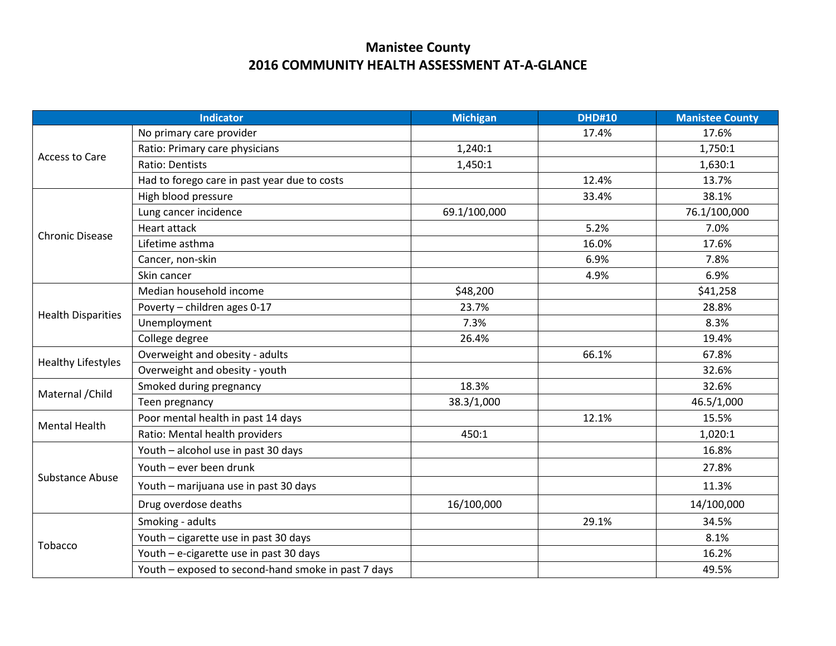## **Manistee County 2016 COMMUNITY HEALTH ASSESSMENT AT-A-GLANCE**

| <b>Indicator</b>          |                                                     | <b>Michigan</b> | <b>DHD#10</b> | <b>Manistee County</b> |
|---------------------------|-----------------------------------------------------|-----------------|---------------|------------------------|
| Access to Care            | No primary care provider                            |                 | 17.4%         | 17.6%                  |
|                           | Ratio: Primary care physicians                      | 1,240:1         |               | 1,750:1                |
|                           | <b>Ratio: Dentists</b>                              | 1,450:1         |               | 1,630:1                |
|                           | Had to forego care in past year due to costs        |                 | 12.4%         | 13.7%                  |
| <b>Chronic Disease</b>    | High blood pressure                                 |                 | 33.4%         | 38.1%                  |
|                           | Lung cancer incidence                               | 69.1/100,000    |               | 76.1/100,000           |
|                           | <b>Heart attack</b>                                 |                 | 5.2%          | 7.0%                   |
|                           | Lifetime asthma                                     |                 | 16.0%         | 17.6%                  |
|                           | Cancer, non-skin                                    |                 | 6.9%          | 7.8%                   |
|                           | Skin cancer                                         |                 | 4.9%          | 6.9%                   |
|                           | Median household income                             | \$48,200        |               | \$41,258               |
| <b>Health Disparities</b> | Poverty - children ages 0-17                        | 23.7%           |               | 28.8%                  |
|                           | Unemployment                                        | 7.3%            |               | 8.3%                   |
|                           | College degree                                      | 26.4%           |               | 19.4%                  |
| <b>Healthy Lifestyles</b> | Overweight and obesity - adults                     |                 | 66.1%         | 67.8%                  |
|                           | Overweight and obesity - youth                      |                 |               | 32.6%                  |
| Maternal / Child          | Smoked during pregnancy                             | 18.3%           |               | 32.6%                  |
|                           | Teen pregnancy                                      | 38.3/1,000      |               | 46.5/1,000             |
| <b>Mental Health</b>      | Poor mental health in past 14 days                  |                 | 12.1%         | 15.5%                  |
|                           | Ratio: Mental health providers                      | 450:1           |               | 1,020:1                |
|                           | Youth - alcohol use in past 30 days                 |                 |               | 16.8%                  |
|                           | Youth - ever been drunk                             |                 |               | 27.8%                  |
| <b>Substance Abuse</b>    | Youth - marijuana use in past 30 days               |                 |               | 11.3%                  |
|                           | Drug overdose deaths                                | 16/100,000      |               | 14/100,000             |
| Tobacco                   | Smoking - adults                                    |                 | 29.1%         | 34.5%                  |
|                           | Youth - cigarette use in past 30 days               |                 |               | 8.1%                   |
|                           | Youth - e-cigarette use in past 30 days             |                 |               | 16.2%                  |
|                           | Youth - exposed to second-hand smoke in past 7 days |                 |               | 49.5%                  |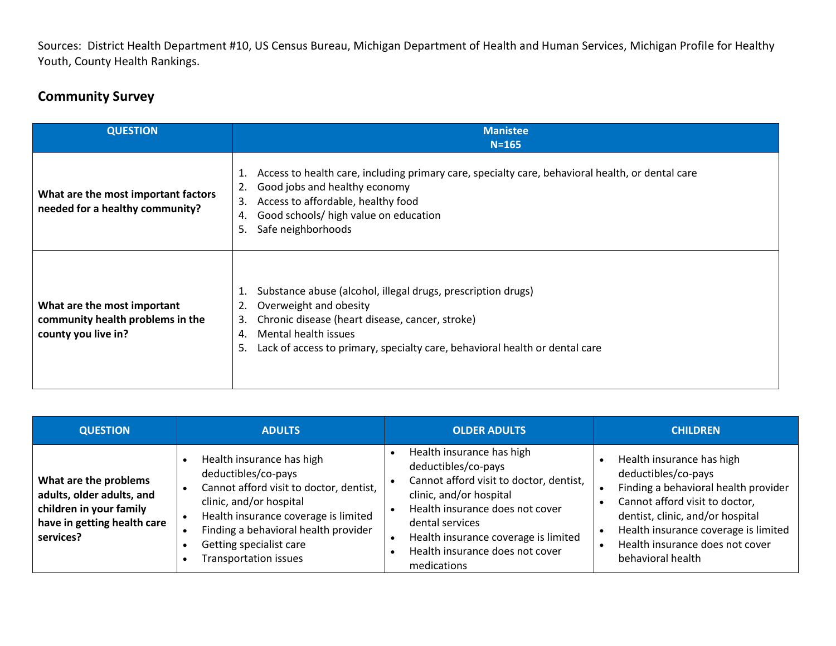Sources: District Health Department #10, US Census Bureau, Michigan Department of Health and Human Services, Michigan Profile for Healthy Youth, County Health Rankings.

## **Community Survey**

| <b>QUESTION</b>                                                                        | <b>Manistee</b><br>$N = 165$                                                                                                                                                                                                                                                   |
|----------------------------------------------------------------------------------------|--------------------------------------------------------------------------------------------------------------------------------------------------------------------------------------------------------------------------------------------------------------------------------|
| What are the most important factors<br>needed for a healthy community?                 | Access to health care, including primary care, specialty care, behavioral health, or dental care<br>1.<br>Good jobs and healthy economy<br>2.<br>Access to affordable, healthy food<br>3.<br>Good schools/ high value on education<br>4.<br>Safe neighborhoods<br>5.           |
| What are the most important<br>community health problems in the<br>county you live in? | Substance abuse (alcohol, illegal drugs, prescription drugs)<br>1.<br>Overweight and obesity<br>2.<br>Chronic disease (heart disease, cancer, stroke)<br>3.<br>Mental health issues<br>4.<br>Lack of access to primary, specialty care, behavioral health or dental care<br>5. |

| <b>QUESTION</b>                                                                                                           | <b>ADULTS</b>                                                                                                                                                                                                                                              | <b>OLDER ADULTS</b>                                                                                                                                                                                                                                                    | <b>CHILDREN</b>                                                                                                                                                                                                                                                |
|---------------------------------------------------------------------------------------------------------------------------|------------------------------------------------------------------------------------------------------------------------------------------------------------------------------------------------------------------------------------------------------------|------------------------------------------------------------------------------------------------------------------------------------------------------------------------------------------------------------------------------------------------------------------------|----------------------------------------------------------------------------------------------------------------------------------------------------------------------------------------------------------------------------------------------------------------|
| What are the problems<br>adults, older adults, and<br>children in your family<br>have in getting health care<br>services? | Health insurance has high<br>deductibles/co-pays<br>Cannot afford visit to doctor, dentist,<br>clinic, and/or hospital<br>Health insurance coverage is limited<br>Finding a behavioral health provider<br>Getting specialist care<br>Transportation issues | Health insurance has high<br>deductibles/co-pays<br>Cannot afford visit to doctor, dentist,<br>clinic, and/or hospital<br>Health insurance does not cover<br>dental services<br>Health insurance coverage is limited<br>Health insurance does not cover<br>medications | Health insurance has high<br>deductibles/co-pays<br>Finding a behavioral health provider<br>Cannot afford visit to doctor,<br>dentist, clinic, and/or hospital<br>Health insurance coverage is limited<br>Health insurance does not cover<br>behavioral health |